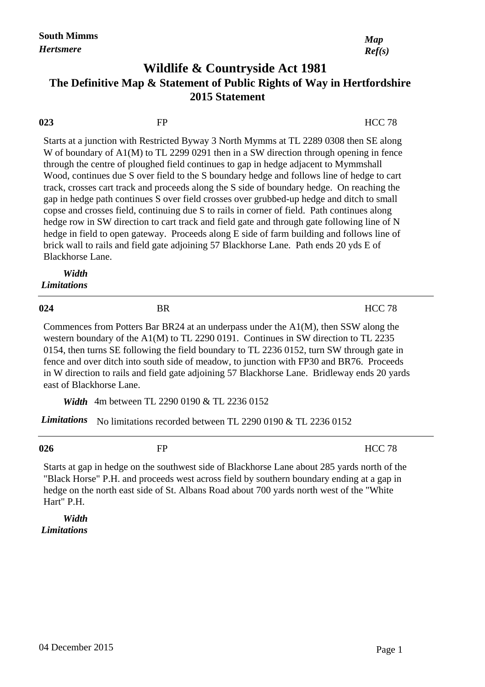## **Wildlife & Countryside Act 1981 2015 Statement The Definitive Map & Statement of Public Rights of Way in Hertfordshire**

| 023                         | FP        | <b>HCC 78</b>                                                                                                                                                                                                                                                                                                                                                                                                                                                                                                                                                                                                                                                                                                                                                                                                                                                                                                                                           |
|-----------------------------|-----------|---------------------------------------------------------------------------------------------------------------------------------------------------------------------------------------------------------------------------------------------------------------------------------------------------------------------------------------------------------------------------------------------------------------------------------------------------------------------------------------------------------------------------------------------------------------------------------------------------------------------------------------------------------------------------------------------------------------------------------------------------------------------------------------------------------------------------------------------------------------------------------------------------------------------------------------------------------|
| Blackhorse Lane.            |           | Starts at a junction with Restricted Byway 3 North Mymms at TL 2289 0308 then SE along<br>W of boundary of A1(M) to TL 2299 0291 then in a SW direction through opening in fence<br>through the centre of ploughed field continues to gap in hedge adjacent to Mymmshall<br>Wood, continues due S over field to the S boundary hedge and follows line of hedge to cart<br>track, crosses cart track and proceeds along the S side of boundary hedge. On reaching the<br>gap in hedge path continues S over field crosses over grubbed-up hedge and ditch to small<br>copse and crosses field, continuing due S to rails in corner of field. Path continues along<br>hedge row in SW direction to cart track and field gate and through gate following line of N<br>hedge in field to open gateway. Proceeds along E side of farm building and follows line of<br>brick wall to rails and field gate adjoining 57 Blackhorse Lane. Path ends 20 yds E of |
| Width<br><b>Limitations</b> |           |                                                                                                                                                                                                                                                                                                                                                                                                                                                                                                                                                                                                                                                                                                                                                                                                                                                                                                                                                         |
| 024                         | <b>BR</b> | <b>HCC 78</b>                                                                                                                                                                                                                                                                                                                                                                                                                                                                                                                                                                                                                                                                                                                                                                                                                                                                                                                                           |
|                             |           | Commences from Potters Bar BR24 at an underpass under the A1(M), then SSW along the<br>western boundary of the A1(M) to TL 2290 0191. Continues in SW direction to TL 2235<br>0154, then turns SE following the field boundary to TL 2236 0152, turn SW through gate in<br>fence and over ditch into south side of meadow, to junction with FP30 and BR76. Proceeds<br>in W direction to rails and field gate adjoining 57 Blackhorse Lane. Bridleway ends 20 yards                                                                                                                                                                                                                                                                                                                                                                                                                                                                                     |

*Width* 4m between TL 2290 0190 & TL 2236 0152 east of Blackhorse Lane.

*Limitations* No limitations recorded between TL 2290 0190 & TL 2236 0152

**026** FP

HCC 78

Starts at gap in hedge on the southwest side of Blackhorse Lane about 285 yards north of the "Black Horse" P.H. and proceeds west across field by southern boundary ending at a gap in hedge on the north east side of St. Albans Road about 700 yards north west of the "White Hart" P.H.

 *Width Limitations* *Ref(s)*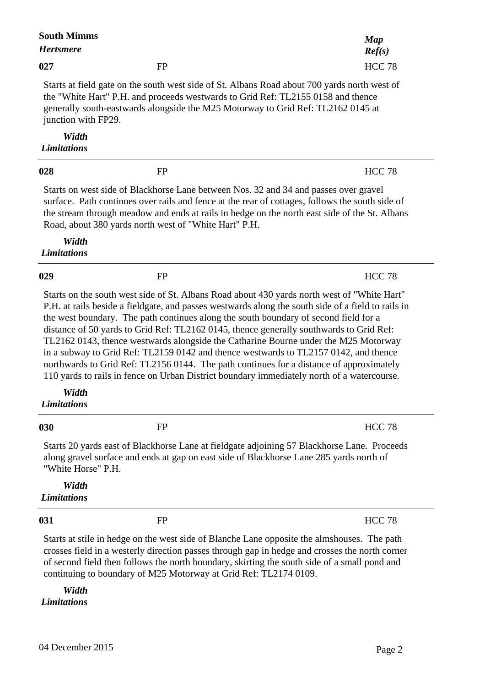| <b>South Mimms</b><br><b>Hertsmere</b> |                                                                                                                                                                      | Map<br>Ref(s)                                                                                                                                                                                                                                                                                                                                                                                                                                                                                                                                                                                                                                                        |
|----------------------------------------|----------------------------------------------------------------------------------------------------------------------------------------------------------------------|----------------------------------------------------------------------------------------------------------------------------------------------------------------------------------------------------------------------------------------------------------------------------------------------------------------------------------------------------------------------------------------------------------------------------------------------------------------------------------------------------------------------------------------------------------------------------------------------------------------------------------------------------------------------|
| 027                                    | <b>FP</b>                                                                                                                                                            | <b>HCC 78</b>                                                                                                                                                                                                                                                                                                                                                                                                                                                                                                                                                                                                                                                        |
| junction with FP29.                    | the "White Hart" P.H. and proceeds westwards to Grid Ref: TL2155 0158 and thence<br>generally south-eastwards alongside the M25 Motorway to Grid Ref: TL2162 0145 at | Starts at field gate on the south west side of St. Albans Road about 700 yards north west of                                                                                                                                                                                                                                                                                                                                                                                                                                                                                                                                                                         |
| Width<br><b>Limitations</b>            |                                                                                                                                                                      |                                                                                                                                                                                                                                                                                                                                                                                                                                                                                                                                                                                                                                                                      |
| 028                                    | <b>FP</b>                                                                                                                                                            | <b>HCC 78</b>                                                                                                                                                                                                                                                                                                                                                                                                                                                                                                                                                                                                                                                        |
|                                        | Starts on west side of Blackhorse Lane between Nos. 32 and 34 and passes over gravel<br>Road, about 380 yards north west of "White Hart" P.H.                        | surface. Path continues over rails and fence at the rear of cottages, follows the south side of<br>the stream through meadow and ends at rails in hedge on the north east side of the St. Albans                                                                                                                                                                                                                                                                                                                                                                                                                                                                     |
| Width<br><b>Limitations</b>            |                                                                                                                                                                      |                                                                                                                                                                                                                                                                                                                                                                                                                                                                                                                                                                                                                                                                      |
| 029                                    | <b>FP</b>                                                                                                                                                            | <b>HCC 78</b>                                                                                                                                                                                                                                                                                                                                                                                                                                                                                                                                                                                                                                                        |
|                                        | the west boundary. The path continues along the south boundary of second field for a                                                                                 | Starts on the south west side of St. Albans Road about 430 yards north west of "White Hart"<br>P.H. at rails beside a fieldgate, and passes westwards along the south side of a field to rails in<br>distance of 50 yards to Grid Ref: TL2162 0145, thence generally southwards to Grid Ref:<br>TL2162 0143, thence westwards alongside the Catharine Bourne under the M25 Motorway<br>in a subway to Grid Ref: TL2159 0142 and thence westwards to TL2157 0142, and thence<br>northwards to Grid Ref: TL2156 0144. The path continues for a distance of approximately<br>110 yards to rails in fence on Urban District boundary immediately north of a watercourse. |
| Width<br><b>Limitations</b>            |                                                                                                                                                                      |                                                                                                                                                                                                                                                                                                                                                                                                                                                                                                                                                                                                                                                                      |
| 030                                    | <b>FP</b>                                                                                                                                                            | <b>HCC 78</b>                                                                                                                                                                                                                                                                                                                                                                                                                                                                                                                                                                                                                                                        |
| "White Horse" P.H.                     | along gravel surface and ends at gap on east side of Blackhorse Lane 285 yards north of                                                                              | Starts 20 yards east of Blackhorse Lane at fieldgate adjoining 57 Blackhorse Lane. Proceeds                                                                                                                                                                                                                                                                                                                                                                                                                                                                                                                                                                          |
| Width<br><b>Limitations</b>            |                                                                                                                                                                      |                                                                                                                                                                                                                                                                                                                                                                                                                                                                                                                                                                                                                                                                      |
| 031                                    | <b>FP</b>                                                                                                                                                            | <b>HCC 78</b>                                                                                                                                                                                                                                                                                                                                                                                                                                                                                                                                                                                                                                                        |
|                                        | continuing to boundary of M25 Motorway at Grid Ref: TL2174 0109.                                                                                                     | Starts at stile in hedge on the west side of Blanche Lane opposite the almshouses. The path<br>crosses field in a westerly direction passes through gap in hedge and crosses the north corner<br>of second field then follows the north boundary, skirting the south side of a small pond and                                                                                                                                                                                                                                                                                                                                                                        |
| Width                                  |                                                                                                                                                                      |                                                                                                                                                                                                                                                                                                                                                                                                                                                                                                                                                                                                                                                                      |

 $\overline{\phantom{a}}$ 

 $\overline{\phantom{a}}$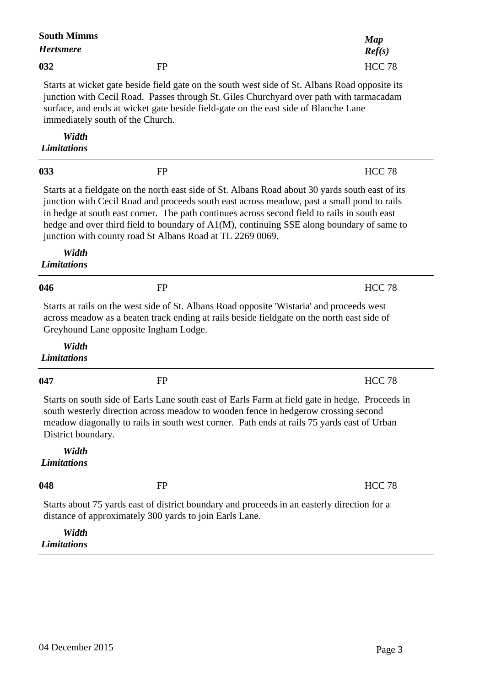| <b>South Mimms</b><br><b>Hertsmere</b> |                                                                                                                                                                                                                                                                                                                                                                                                                                                          | <b>Map</b><br>Ref(s)                                                                            |
|----------------------------------------|----------------------------------------------------------------------------------------------------------------------------------------------------------------------------------------------------------------------------------------------------------------------------------------------------------------------------------------------------------------------------------------------------------------------------------------------------------|-------------------------------------------------------------------------------------------------|
| 032                                    | <b>FP</b>                                                                                                                                                                                                                                                                                                                                                                                                                                                | <b>HCC 78</b>                                                                                   |
|                                        | Starts at wicket gate beside field gate on the south west side of St. Albans Road opposite its<br>junction with Cecil Road. Passes through St. Giles Churchyard over path with tarmacadam<br>surface, and ends at wicket gate beside field-gate on the east side of Blanche Lane<br>immediately south of the Church.                                                                                                                                     |                                                                                                 |
| Width<br><b>Limitations</b>            |                                                                                                                                                                                                                                                                                                                                                                                                                                                          |                                                                                                 |
| 033                                    | <b>FP</b>                                                                                                                                                                                                                                                                                                                                                                                                                                                | <b>HCC 78</b>                                                                                   |
|                                        | Starts at a fieldgate on the north east side of St. Albans Road about 30 yards south east of its<br>junction with Cecil Road and proceeds south east across meadow, past a small pond to rails<br>in hedge at south east corner. The path continues across second field to rails in south east<br>hedge and over third field to boundary of A1(M), continuing SSE along boundary of same to<br>junction with county road St Albans Road at TL 2269 0069. |                                                                                                 |
| Width<br><b>Limitations</b>            |                                                                                                                                                                                                                                                                                                                                                                                                                                                          |                                                                                                 |
| 046                                    | <b>FP</b>                                                                                                                                                                                                                                                                                                                                                                                                                                                | <b>HCC 78</b>                                                                                   |
|                                        | Starts at rails on the west side of St. Albans Road opposite 'Wistaria' and proceeds west<br>across meadow as a beaten track ending at rails beside fieldgate on the north east side of<br>Greyhound Lane opposite Ingham Lodge.                                                                                                                                                                                                                         |                                                                                                 |
| Width<br><b>Limitations</b>            |                                                                                                                                                                                                                                                                                                                                                                                                                                                          |                                                                                                 |
| 047                                    | <b>FP</b>                                                                                                                                                                                                                                                                                                                                                                                                                                                | <b>HCC 78</b>                                                                                   |
| District boundary.                     | south westerly direction across meadow to wooden fence in hedgerow crossing second<br>meadow diagonally to rails in south west corner. Path ends at rails 75 yards east of Urban                                                                                                                                                                                                                                                                         | Starts on south side of Earls Lane south east of Earls Farm at field gate in hedge. Proceeds in |
| Width<br><b>Limitations</b>            |                                                                                                                                                                                                                                                                                                                                                                                                                                                          |                                                                                                 |
| 048                                    | <b>FP</b>                                                                                                                                                                                                                                                                                                                                                                                                                                                | <b>HCC 78</b>                                                                                   |
|                                        | Starts about 75 yards east of district boundary and proceeds in an easterly direction for a<br>distance of approximately 300 yards to join Earls Lane.                                                                                                                                                                                                                                                                                                   |                                                                                                 |
| Width<br><b>Limitations</b>            |                                                                                                                                                                                                                                                                                                                                                                                                                                                          |                                                                                                 |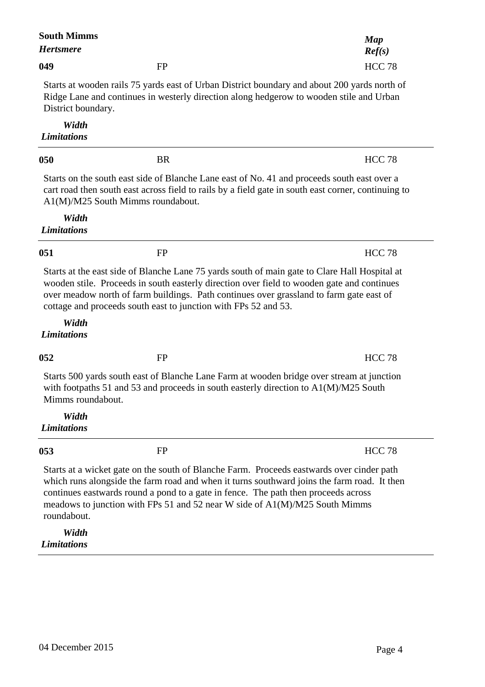| <b>South Mimms</b><br><b>Hertsmere</b>                                                                                                                                                                        |                                                                                                                                                                                                                                                                                                                                                               | Map<br>Ref(s)                                                                                       |  |
|---------------------------------------------------------------------------------------------------------------------------------------------------------------------------------------------------------------|---------------------------------------------------------------------------------------------------------------------------------------------------------------------------------------------------------------------------------------------------------------------------------------------------------------------------------------------------------------|-----------------------------------------------------------------------------------------------------|--|
| 049                                                                                                                                                                                                           | <b>FP</b>                                                                                                                                                                                                                                                                                                                                                     | <b>HCC 78</b>                                                                                       |  |
| Starts at wooden rails 75 yards east of Urban District boundary and about 200 yards north of<br>Ridge Lane and continues in westerly direction along hedgerow to wooden stile and Urban<br>District boundary. |                                                                                                                                                                                                                                                                                                                                                               |                                                                                                     |  |
| Width<br><b>Limitations</b>                                                                                                                                                                                   |                                                                                                                                                                                                                                                                                                                                                               |                                                                                                     |  |
| 050                                                                                                                                                                                                           | <b>BR</b>                                                                                                                                                                                                                                                                                                                                                     | <b>HCC 78</b>                                                                                       |  |
|                                                                                                                                                                                                               | Starts on the south east side of Blanche Lane east of No. 41 and proceeds south east over a<br>A1(M)/M25 South Mimms roundabout.                                                                                                                                                                                                                              | cart road then south east across field to rails by a field gate in south east corner, continuing to |  |
| Width<br><b>Limitations</b>                                                                                                                                                                                   |                                                                                                                                                                                                                                                                                                                                                               |                                                                                                     |  |
| 051                                                                                                                                                                                                           | FP                                                                                                                                                                                                                                                                                                                                                            | <b>HCC 78</b>                                                                                       |  |
| Width                                                                                                                                                                                                         | Starts at the east side of Blanche Lane 75 yards south of main gate to Clare Hall Hospital at<br>wooden stile. Proceeds in south easterly direction over field to wooden gate and continues<br>over meadow north of farm buildings. Path continues over grassland to farm gate east of<br>cottage and proceeds south east to junction with FPs 52 and 53.     |                                                                                                     |  |
| <b>Limitations</b>                                                                                                                                                                                            |                                                                                                                                                                                                                                                                                                                                                               |                                                                                                     |  |
| 052                                                                                                                                                                                                           | <b>FP</b>                                                                                                                                                                                                                                                                                                                                                     | <b>HCC 78</b>                                                                                       |  |
| Mimms roundabout.                                                                                                                                                                                             | Starts 500 yards south east of Blanche Lane Farm at wooden bridge over stream at junction<br>with footpaths 51 and 53 and proceeds in south easterly direction to $A1(M)/M25$ South                                                                                                                                                                           |                                                                                                     |  |
| Width<br><b>Limitations</b>                                                                                                                                                                                   |                                                                                                                                                                                                                                                                                                                                                               |                                                                                                     |  |
| 053                                                                                                                                                                                                           | <b>FP</b>                                                                                                                                                                                                                                                                                                                                                     | <b>HCC 78</b>                                                                                       |  |
| roundabout.                                                                                                                                                                                                   | Starts at a wicket gate on the south of Blanche Farm. Proceeds eastwards over cinder path<br>which runs alongside the farm road and when it turns southward joins the farm road. It then<br>continues eastwards round a pond to a gate in fence. The path then proceeds across<br>meadows to junction with FPs 51 and 52 near W side of A1(M)/M25 South Mimms |                                                                                                     |  |
| Width<br><b>Limitations</b>                                                                                                                                                                                   |                                                                                                                                                                                                                                                                                                                                                               |                                                                                                     |  |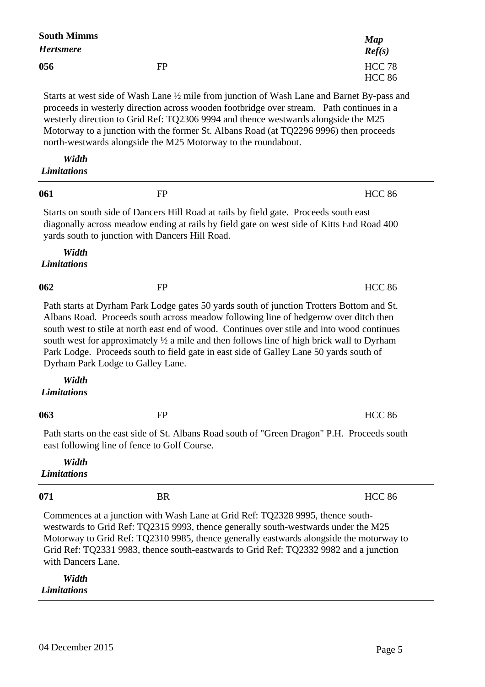| <b>South Mimms</b><br><b>Hertsmere</b> |                                                                                                                                                                                                                                                                                                                                                                                                                                                                                                               | Map                            |
|----------------------------------------|---------------------------------------------------------------------------------------------------------------------------------------------------------------------------------------------------------------------------------------------------------------------------------------------------------------------------------------------------------------------------------------------------------------------------------------------------------------------------------------------------------------|--------------------------------|
|                                        |                                                                                                                                                                                                                                                                                                                                                                                                                                                                                                               | Ref(s)                         |
| 056                                    | FP                                                                                                                                                                                                                                                                                                                                                                                                                                                                                                            | <b>HCC 78</b><br><b>HCC 86</b> |
|                                        | Starts at west side of Wash Lane 1/2 mile from junction of Wash Lane and Barnet By-pass and<br>proceeds in westerly direction across wooden footbridge over stream. Path continues in a<br>westerly direction to Grid Ref: TQ2306 9994 and thence westwards alongside the M25<br>Motorway to a junction with the former St. Albans Road (at TQ2296 9996) then proceeds<br>north-westwards alongside the M25 Motorway to the roundabout.                                                                       |                                |
| Width<br><b>Limitations</b>            |                                                                                                                                                                                                                                                                                                                                                                                                                                                                                                               |                                |
| 061                                    | FP                                                                                                                                                                                                                                                                                                                                                                                                                                                                                                            | <b>HCC 86</b>                  |
|                                        | Starts on south side of Dancers Hill Road at rails by field gate. Proceeds south east<br>diagonally across meadow ending at rails by field gate on west side of Kitts End Road 400<br>yards south to junction with Dancers Hill Road.                                                                                                                                                                                                                                                                         |                                |
| Width<br><b>Limitations</b>            |                                                                                                                                                                                                                                                                                                                                                                                                                                                                                                               |                                |
| 062                                    | FP                                                                                                                                                                                                                                                                                                                                                                                                                                                                                                            | <b>HCC 86</b>                  |
|                                        | Path starts at Dyrham Park Lodge gates 50 yards south of junction Trotters Bottom and St.<br>Albans Road. Proceeds south across meadow following line of hedgerow over ditch then<br>south west to stile at north east end of wood. Continues over stile and into wood continues<br>south west for approximately 1/2 a mile and then follows line of high brick wall to Dyrham<br>Park Lodge. Proceeds south to field gate in east side of Galley Lane 50 yards south of<br>Dyrham Park Lodge to Galley Lane. |                                |
| Width<br><b>Limitations</b>            |                                                                                                                                                                                                                                                                                                                                                                                                                                                                                                               |                                |
| 063                                    | <b>FP</b>                                                                                                                                                                                                                                                                                                                                                                                                                                                                                                     | <b>HCC 86</b>                  |
|                                        | Path starts on the east side of St. Albans Road south of "Green Dragon" P.H. Proceeds south<br>east following line of fence to Golf Course.                                                                                                                                                                                                                                                                                                                                                                   |                                |
| Width<br><b>Limitations</b>            |                                                                                                                                                                                                                                                                                                                                                                                                                                                                                                               |                                |
| 071                                    | <b>BR</b>                                                                                                                                                                                                                                                                                                                                                                                                                                                                                                     | <b>HCC 86</b>                  |
| with Dancers Lane.                     | Commences at a junction with Wash Lane at Grid Ref: TQ2328 9995, thence south-<br>westwards to Grid Ref: TQ2315 9993, thence generally south-westwards under the M25<br>Motorway to Grid Ref: TQ2310 9985, thence generally eastwards alongside the motorway to<br>Grid Ref: TQ2331 9983, thence south-eastwards to Grid Ref: TQ2332 9982 and a junction                                                                                                                                                      |                                |
| Width                                  |                                                                                                                                                                                                                                                                                                                                                                                                                                                                                                               |                                |

*Limitations*